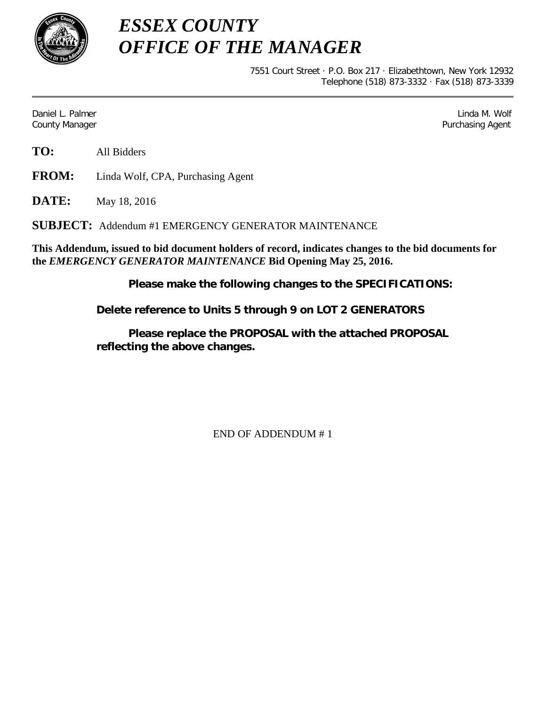

*ESSEX COUNTY OFFICE OF THE MANAGER*

> 7551 Court Street · P.O. Box 217 · Elizabethtown, New York 12932 Telephone (518) 873-3332 · Fax (518) 873-3339

Daniel L. Palmer Linda M. Wolf County Manager Purchasing Agent

**TO:** All Bidders

**FROM:** Linda Wolf, CPA, Purchasing Agent

**DATE:** May 18, 2016

**SUBJECT:** Addendum #1 EMERGENCY GENERATOR MAINTENANCE

**This Addendum, issued to bid document holders of record, indicates changes to the bid documents for the** *EMERGENCY GENERATOR MAINTENANCE* **Bid Opening May 25, 2016.**

**Please make the following changes to the SPECIFICATIONS:**

**Delete reference to Units 5 through 9 on LOT 2 GENERATORS**

**Please replace the PROPOSAL with the attached PROPOSAL reflecting the above changes.**

END OF ADDENDUM # 1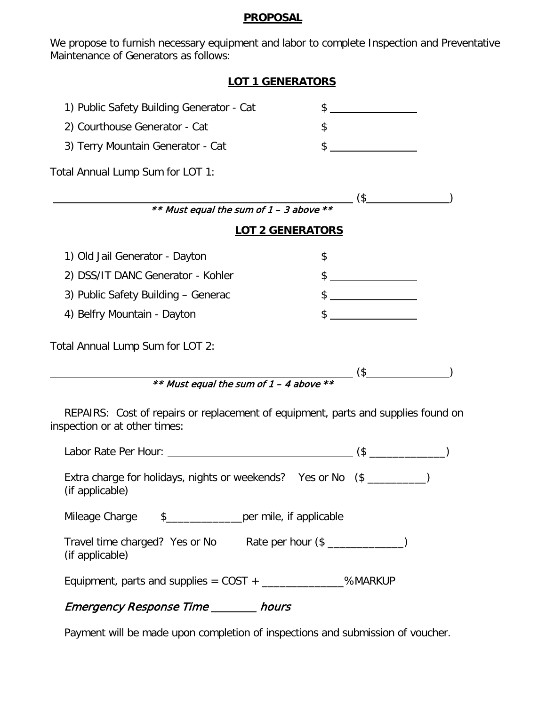## **PROPOSAL**

We propose to furnish necessary equipment and labor to complete Inspection and Preventative Maintenance of Generators as follows:

| <b>LOT 1 GENERATORS</b>                                                                                            |                                                                                                                                                                                                                                                                                                                                                                     |
|--------------------------------------------------------------------------------------------------------------------|---------------------------------------------------------------------------------------------------------------------------------------------------------------------------------------------------------------------------------------------------------------------------------------------------------------------------------------------------------------------|
| 1) Public Safety Building Generator - Cat                                                                          | $\frac{1}{2}$                                                                                                                                                                                                                                                                                                                                                       |
| 2) Courthouse Generator - Cat                                                                                      | $\frac{1}{2}$                                                                                                                                                                                                                                                                                                                                                       |
| 3) Terry Mountain Generator - Cat                                                                                  | $\frac{1}{2}$                                                                                                                                                                                                                                                                                                                                                       |
| Total Annual Lump Sum for LOT 1:                                                                                   |                                                                                                                                                                                                                                                                                                                                                                     |
|                                                                                                                    | ** Must equal the sum of $1 - 3$ above ** $($ \$                                                                                                                                                                                                                                                                                                                    |
|                                                                                                                    |                                                                                                                                                                                                                                                                                                                                                                     |
|                                                                                                                    | <b>LOT 2 GENERATORS</b>                                                                                                                                                                                                                                                                                                                                             |
| 1) Old Jail Generator - Dayton                                                                                     | $\frac{1}{2}$                                                                                                                                                                                                                                                                                                                                                       |
| 2) DSS/IT DANC Generator - Kohler                                                                                  | $\begin{picture}(20,10) \put(0,0){\vector(1,0){100}} \put(15,0){\vector(1,0){100}} \put(15,0){\vector(1,0){100}} \put(15,0){\vector(1,0){100}} \put(15,0){\vector(1,0){100}} \put(15,0){\vector(1,0){100}} \put(15,0){\vector(1,0){100}} \put(15,0){\vector(1,0){100}} \put(15,0){\vector(1,0){100}} \put(15,0){\vector(1,0){100}} \put(15,0){\vector(1,0){100}} \$ |
| 3) Public Safety Building - Generac                                                                                | $\frac{1}{2}$                                                                                                                                                                                                                                                                                                                                                       |
| 4) Belfry Mountain - Dayton                                                                                        | $\frac{1}{2}$                                                                                                                                                                                                                                                                                                                                                       |
| Total Annual Lump Sum for LOT 2:                                                                                   |                                                                                                                                                                                                                                                                                                                                                                     |
|                                                                                                                    |                                                                                                                                                                                                                                                                                                                                                                     |
| ** Must equal the sum of 1 – 4 above **                                                                            |                                                                                                                                                                                                                                                                                                                                                                     |
| REPAIRS: Cost of repairs or replacement of equipment, parts and supplies found on<br>inspection or at other times: |                                                                                                                                                                                                                                                                                                                                                                     |
|                                                                                                                    |                                                                                                                                                                                                                                                                                                                                                                     |
| Extra charge for holidays, nights or weekends? Yes or No (\$ _________)<br>(if applicable)                         |                                                                                                                                                                                                                                                                                                                                                                     |
| \$_________________per mile, if applicable<br>Mileage Charge                                                       |                                                                                                                                                                                                                                                                                                                                                                     |
| Travel time charged? Yes or No<br>(if applicable)                                                                  | Rate per hour (\$ _______________)                                                                                                                                                                                                                                                                                                                                  |

Equipment, parts and supplies =  $COST +$  \_\_\_\_\_\_\_\_\_\_\_\_\_\_%MARKUP

## Emergency Response Time \_\_\_\_\_\_\_ hours

Payment will be made upon completion of inspections and submission of voucher.